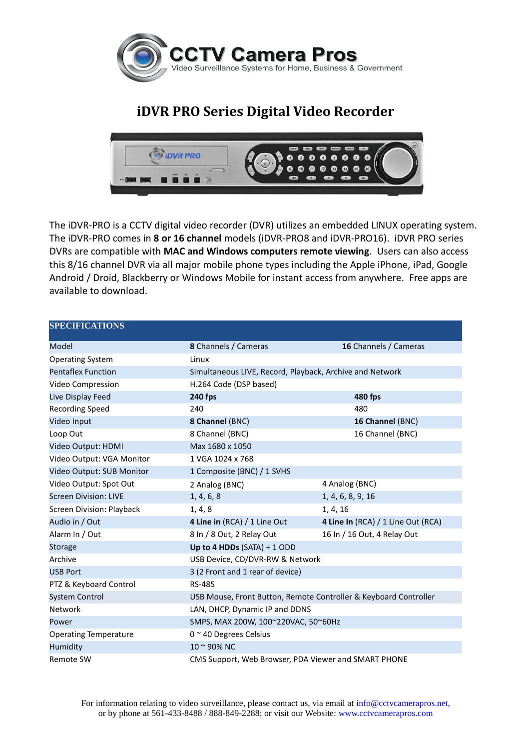

## **iDVR PRO Series Digital Video Recorder**



The iDVR-PRO is a CCTV digital video recorder (DVR) utilizes an embedded LINUX operating system. The iDVR-PRO comes in **8 or 16 channel** models (iDVR-PRO8 and iDVR-PRO16). iDVR PRO series DVRs are compatible with **MAC and Windows computers remote viewing**. Users can also access this 8/16 channel DVR via all major mobile phone types including the Apple iPhone, iPad, Google Android / Droid, Blackberry or Windows Mobile for instant access from anywhere. Free apps are available to download.

## **SPECIFICATIONS**

| Model                        | <b>8</b> Channels / Cameras                                      | 16 Channels / Cameras              |
|------------------------------|------------------------------------------------------------------|------------------------------------|
| <b>Operating System</b>      | Linux                                                            |                                    |
| <b>Pentaflex Function</b>    | Simultaneous LIVE, Record, Playback, Archive and Network         |                                    |
| Video Compression            | H.264 Code (DSP based)                                           |                                    |
| Live Display Feed            | <b>240 fps</b>                                                   | 480 fps                            |
| <b>Recording Speed</b>       | 240                                                              | 480                                |
| Video Input                  | 8 Channel (BNC)                                                  | 16 Channel (BNC)                   |
| Loop Out                     | 8 Channel (BNC)                                                  | 16 Channel (BNC)                   |
| Video Output: HDMI           | Max 1680 x 1050                                                  |                                    |
| Video Output: VGA Monitor    | 1 VGA 1024 x 768                                                 |                                    |
| Video Output: SUB Monitor    | 1 Composite (BNC) / 1 SVHS                                       |                                    |
| Video Output: Spot Out       | 2 Analog (BNC)                                                   | 4 Analog (BNC)                     |
| <b>Screen Division: LIVE</b> | 1, 4, 6, 8                                                       | 1, 4, 6, 8, 9, 16                  |
| Screen Division: Playback    | 1, 4, 8                                                          | 1, 4, 16                           |
| Audio in / Out               | 4 Line in (RCA) / 1 Line Out                                     | 4 Line In (RCA) / 1 Line Out (RCA) |
| Alarm In / Out               | 8 In / 8 Out, 2 Relay Out                                        | 16 In / 16 Out, 4 Relay Out        |
| Storage                      | Up to 4 HDDs $(SATA) + 1 ODD$                                    |                                    |
| Archive                      | USB Device, CD/DVR-RW & Network                                  |                                    |
| <b>USB Port</b>              | 3 (2 Front and 1 rear of device)                                 |                                    |
| PTZ & Keyboard Control       | <b>RS-485</b>                                                    |                                    |
| <b>System Control</b>        | USB Mouse, Front Button, Remote Controller & Keyboard Controller |                                    |
| <b>Network</b>               | LAN, DHCP, Dynamic IP and DDNS                                   |                                    |
| Power                        | SMPS, MAX 200W, 100~220VAC, 50~60Hz                              |                                    |
| <b>Operating Temperature</b> | 0 ~ 40 Degrees Celsius                                           |                                    |
| Humidity                     | $10 - 90\%$ NC                                                   |                                    |
| Remote SW                    | CMS Support, Web Browser, PDA Viewer and SMART PHONE             |                                    |